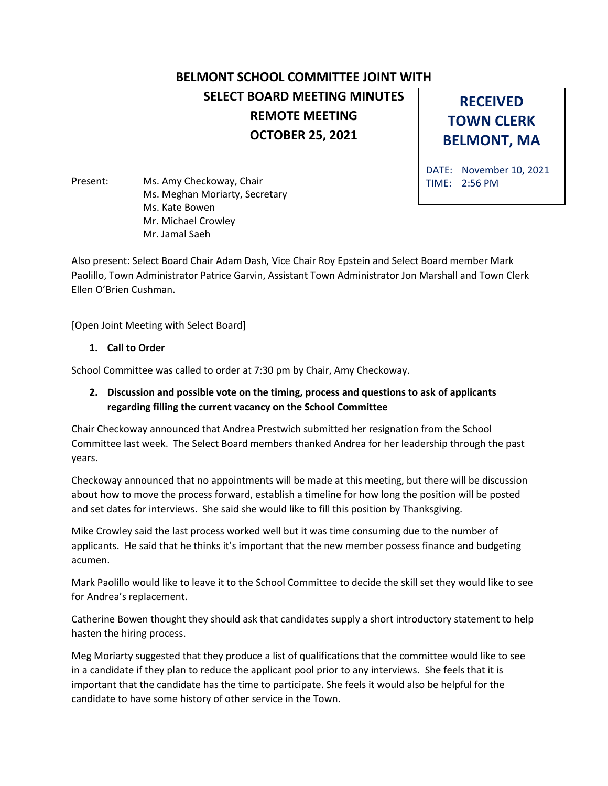## **BELMONT SCHOOL COMMITTEE JOINT WITH SELECT BOARD MEETING MINUTES REMOTE MEETING OCTOBER 25, 2021**

**RECEIVED TOWN CLERK BELMONT, MA**

DATE: November 10, 2021

TIME: 2:56 PM

Present: Ms. Amy Checkoway, Chair Ms. Meghan Moriarty, Secretary Ms. Kate Bowen Mr. Michael Crowley Mr. Jamal Saeh

Also present: Select Board Chair Adam Dash, Vice Chair Roy Epstein and Select Board member Mark Paolillo, Town Administrator Patrice Garvin, Assistant Town Administrator Jon Marshall and Town Clerk Ellen O'Brien Cushman.

[Open Joint Meeting with Select Board]

## **1. Call to Order**

School Committee was called to order at 7:30 pm by Chair, Amy Checkoway.

## **2. Discussion and possible vote on the timing, process and questions to ask of applicants regarding filling the current vacancy on the School Committee**

Chair Checkoway announced that Andrea Prestwich submitted her resignation from the School Committee last week. The Select Board members thanked Andrea for her leadership through the past years.

Checkoway announced that no appointments will be made at this meeting, but there will be discussion about how to move the process forward, establish a timeline for how long the position will be posted and set dates for interviews. She said she would like to fill this position by Thanksgiving.

Mike Crowley said the last process worked well but it was time consuming due to the number of applicants. He said that he thinks it's important that the new member possess finance and budgeting acumen.

Mark Paolillo would like to leave it to the School Committee to decide the skill set they would like to see for Andrea's replacement.

Catherine Bowen thought they should ask that candidates supply a short introductory statement to help hasten the hiring process.

Meg Moriarty suggested that they produce a list of qualifications that the committee would like to see in a candidate if they plan to reduce the applicant pool prior to any interviews. She feels that it is important that the candidate has the time to participate. She feels it would also be helpful for the candidate to have some history of other service in the Town.